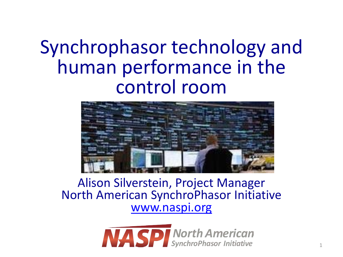# Synchrophasor technology and human performance in the control room



Alison Silverstein, Project Manager North American SynchroPhasor Initiative [www.naspi.org](http://www.naspi.org)

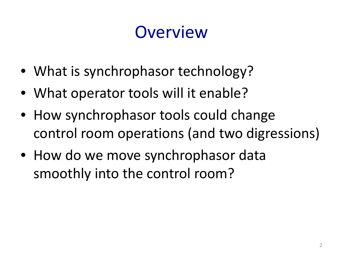# **Overview**

- What is synchrophasor technology?
- What operator tools will it enable?
- How synchrophasor tools could change control room operations (and two digressions)
- How do we move synchrophasor data smoothly into the control room?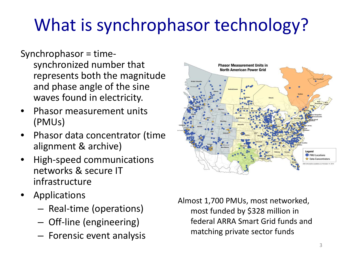# What is synchrophasor technology?

- Synchrophasor = timesynchronized number that represents both the magnitude and phase angle of the sine waves found in electricity.
- Phasor measurement units (PMUs)
- Phasor data concentrator (time alignment & archive)
- High-speed communications networks & secure IT infrastructure
- **Applications** 
	- Real-time (operations)
	- Off-line (engineering)
	- Forensic event analysis



Almost 1,700 PMUs, most networked, most funded by \$328 million in federal ARRA Smart Grid funds and matching private sector funds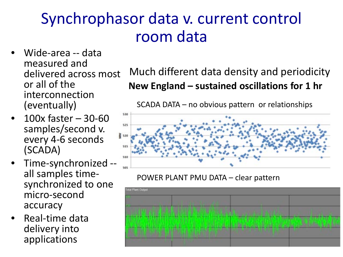### Synchrophasor data v. current control room data

- Wide-area -- data measured and delivered across most or all of the interconnection (eventually)
- 100x faster 30-60 samples/second v.<br>every 4-6 seconds (SCADA)
- Time-synchronized --<br>all samples time-<br>synchronized to one micro-second accuracy
- Real-time data delivery into applications

#### **New England – sustained oscillations for 1 hr** Much different data density and periodicity

SCADA DATA – no obvious pattern or relationships



POWER PLANT PMU DATA – clear pattern

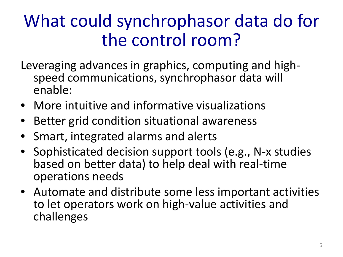# What could synchrophasor data do for the control room?

- Leveraging advances in graphics, computing and high- speed communications, synchrophasor data will enable:
- More intuitive and informative visualizations
- Better grid condition situational awareness
- Smart, integrated alarms and alerts
- Sophisticated decision support tools (e.g., N-x studies based on better data) to help deal with real-time operations needs
- Automate and distribute some less important activities to let operators work on high-value activities and challenges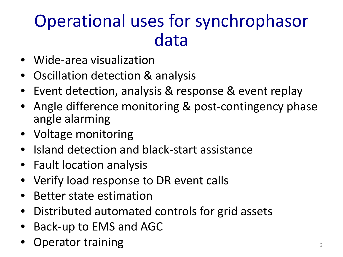# Operational uses for synchrophasor data

- Wide-area visualization
- Oscillation detection & analysis
- Event detection, analysis & response & event replay
- Angle difference monitoring & post-contingency phase angle alarming
- Voltage monitoring
- Island detection and black-start assistance
- Fault location analysis
- Verify load response to DR event calls
- Better state estimation
- Distributed automated controls for grid assets
- Back-up to EMS and AGC
- **Operator training the contract of the contract of the contract of the contract of the contract of the contract of the contract of the contract of the contract of the contract of the contract of the contract of the contrac**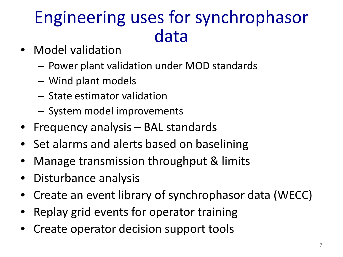# Engineering uses for synchrophasor data

- Model validation
	- Power plant validation under MOD standards
	- Wind plant models
	- State estimator validation
	- System model improvements
- Frequency analysis BAL standards
- Set alarms and alerts based on baselining
- Manage transmission throughput & limits
- Disturbance analysis
- Create an event library of synchrophasor data (WECC)
- Replay grid events for operator training
- Create operator decision support tools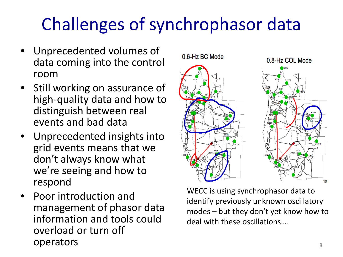# Challenges of synchrophasor data

- Unprecedented volumes of data coming into the control room
- Still working on assurance of high-quality data and how to distinguish between real events and bad data
- Unprecedented insights into grid events means that we don't always know what we're seeing and how to respond
- Poor introduction and management of phasor data information and tools could overload or turn off operators and the set of the set of the set of the set of the set of the set of the set of the set of the set o

10 WECC is using synchrophasor data to identify previously unknown oscillatory modes – but they don't yet know how to deal with these oscillations….

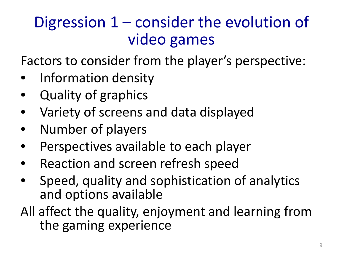### Digression 1 – consider the evolution of video games

Factors to consider from the player's perspective:

- Information density
- Quality of graphics
- Variety of screens and data displayed
- Number of players
- Perspectives available to each player
- Reaction and screen refresh speed
- Speed, quality and sophistication of analytics and options available
- All affect the quality, enjoyment and learning from the gaming experience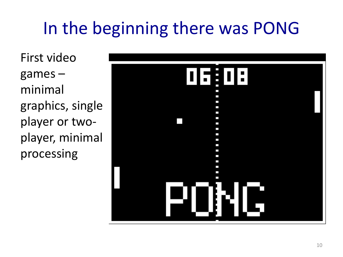# In the beginning there was PONG

First video games – minimal graphics, single player or twoplayer, minimal processing

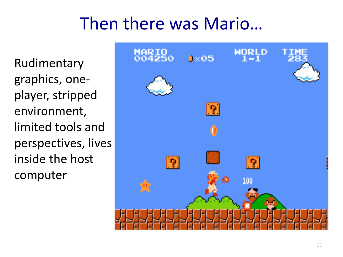### Then there was Mario…

Rudimentary graphics, oneplayer, stripped environment, limited tools and perspectives, lives inside the host computer

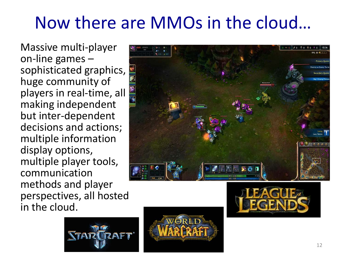# Now there are MMOs in the cloud…

Massive multi-player on-line games – sophisticated graphics, huge community of players in real-time, all making independent but inter-dependent decisions and actions; multiple information display options, multiple player tools, communication methods and player perspectives, all hosted in the cloud.







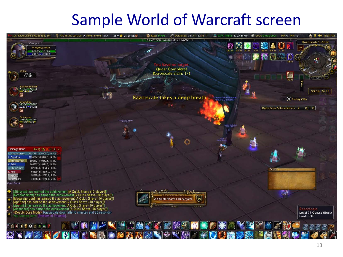#### Sample World of Warcraft screen

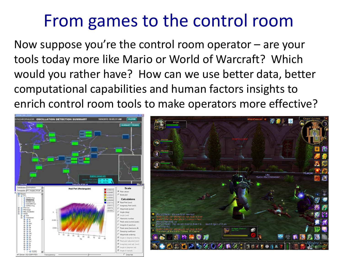# From games to the control room

Now suppose you're the control room operator – are your tools today more like Mario or World of Warcraft? Which would you rather have? How can we use better data, better computational capabilities and human factors insights to enrich control room tools to make operators more effective?

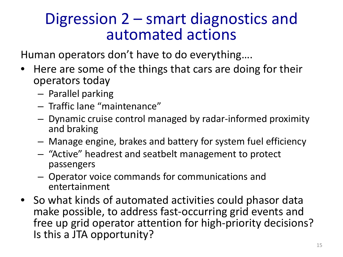#### Digression 2 – smart diagnostics and automated actions

Human operators don't have to do everything….

- Here are some of the things that cars are doing for their operators today
	- Parallel parking
	- Traffic lane "maintenance"
	- Dynamic cruise control managed by radar-informed proximity and braking
	- Manage engine, brakes and battery for system fuel efficiency
	- "Active" headrest and seatbelt management to protect passengers
	- Operator voice commands for communications and entertainment
- So what kinds of automated activities could phasor data make possible, to address fast-occurring grid events and free up grid operator attention for high-priority decisions? Is this a JTA opportunity?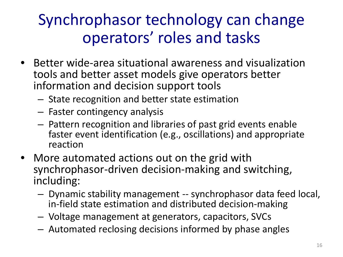### Synchrophasor technology can change operators' roles and tasks

- Better wide-area situational awareness and visualization tools and better asset models give operators better information and decision support tools
	- State recognition and better state estimation
	- Faster contingency analysis
	- Pattern recognition and libraries of past grid events enable faster event identification (e.g., oscillations) and appropriate reaction
- More automated actions out on the grid with synchrophasor-driven decision-making and switching, including:
	- Dynamic stability management -- synchrophasor data feed local, in-field state estimation and distributed decision-making
	- Voltage management at generators, capacitors, SVCs
	- Automated reclosing decisions informed by phase angles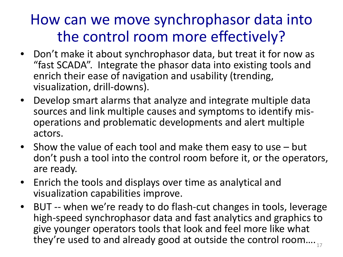#### How can we move synchrophasor data into the control room more effectively?

- Don't make it about synchrophasor data, but treat it for now as "fast SCADA". Integrate the phasor data into existing tools and enrich their ease of navigation and usability (trending, visualization, drill-downs).
- Develop smart alarms that analyze and integrate multiple data sources and link multiple causes and symptoms to identify mis- operations and problematic developments and alert multiple actors.
- Show the value of each tool and make them easy to use but don't push a tool into the control room before it, or the operators, are ready.
- Enrich the tools and displays over time as analytical and visualization capabilities improve.
- BUT -- when we're ready to do flash-cut changes in tools, leverage high-speed synchrophasor data and fast analytics and graphics to give younger operators tools that look and feel more like what they're used to and already good at outside the control room.... $_{17}$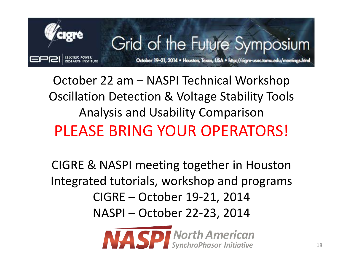

October 22 am – NASPI Technical Workshop Oscillation Detection & Voltage Stability Tools Analysis and Usability Comparison PLEASE BRING YOUR OPERATORS!

CIGRE & NASPI meeting together in Houston Integrated tutorials, workshop and programs CIGRE – October 19-21, 2014 NASPI – October 22-23, 2014